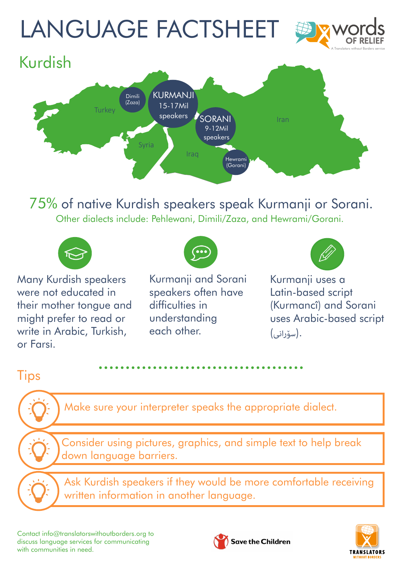# LANGUAGE FACTSHEET





75% of native Kurdish speakers speak Kurmanji or Sorani. Other dialects include: Pehlewani, Dimili/Zaza, and Hewrami/Gorani.



Many Kurdish speakers were not educated in their mother tongue and might prefer to read or write in Arabic, Turkish, or Farsi.



Kurmanji and Sorani speakers often have difficulties in understanding each other.



Kurmanji uses a Latin-based script (Kurmancî) and Sorani uses Arabic-based script .(سۆرانی)

#### **Tips**

Make sure your interpreter speaks the appropriate dialect.

Consider using pictures, graphics, and simple text to help break down language barriers.

Ask Kurdish speakers if they would be more comfortable receiving written information in another language.

Contact [info@translatorswithoutborders.org](mailto:info%40translatorswithoutborders.org?subject=) to discuss language services for communicating with communities in need.